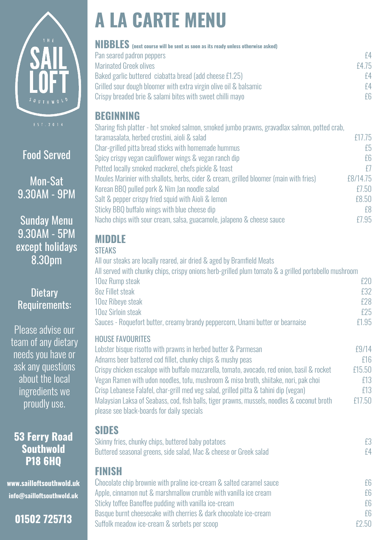

## Food Served

Mon-Sat 9.30AM - 9PM

Sunday Menu 9.30AM - 5PM except holidays 8.30pm

### **Dietary** Requirements:

Please advise our team of any dietary needs you have or ask any questions about the local ingredients we proudly use.

**53 Ferry Road Southwold P18 6HQ** 

**www.sailloftsouthwold.uk info@sailloftsouthwold.uk** 

**01502 725713**

# **A LA CARTE MENU**

| <b>NIBBLES</b> (next course will be sent as soon as its ready unless otherwise asked) |       |
|---------------------------------------------------------------------------------------|-------|
| Pan seared padron peppers                                                             | f4    |
| <b>Marinated Greek olives</b>                                                         | £4.75 |
| Baked garlic buttered ciabatta bread (add cheese £1.25)                               | f4    |
| Grilled sour dough bloomer with extra virgin olive oil & balsamic                     | f4    |
| Crispy breaded brie & salami bites with sweet chilli mayo                             | f6    |
|                                                                                       |       |

### **BEGINNING**

| Sharing fish platter - hot smoked salmon, smoked jumbo prawns, gravadlax salmon, potted crab, |          |
|-----------------------------------------------------------------------------------------------|----------|
| taramasalata, herbed crostini, aioli & salad                                                  | £17.75   |
| Char-grilled pitta bread sticks with homemade hummus                                          | £5       |
| Spicy crispy vegan cauliflower wings & vegan ranch dip                                        | £6       |
| Potted locally smoked mackerel, chefs pickle & toast                                          | f        |
| Moules Marinier with shallots, herbs, cider & cream, grilled bloomer (main with fries)        | £8/14.75 |
| Korean BBQ pulled pork & Nim Jan noodle salad                                                 | £7.50    |
| Salt & pepper crispy fried squid with Aioli & lemon                                           | £8,50    |
| Sticky BBQ buffalo wings with blue cheese dip                                                 | f8       |
| Nacho chips with sour cream, salsa, guacamole, jalapeno & cheese sauce                        | f7.95    |

# **MIDDLE**

| ۹<br>$\sim$ | . .<br>۰. |
|-------------|-----------|
|             |           |

| All our steaks are locally reared, air dried & aged by Bramfield Meats                               |        |
|------------------------------------------------------------------------------------------------------|--------|
| All served with chunky chips, crispy onions herb-grilled plum tomato & a grilled portobello mushroom |        |
| 10oz Rump steak                                                                                      | f20    |
| 8oz Fillet steak                                                                                     | f32    |
| 10oz Ribeye steak                                                                                    | $f$ 28 |
| 10oz Sirloin steak                                                                                   | f25    |
| Sauces - Roquefort butter, creamy brandy peppercorn, Unami butter or bearnaise                       | £1.95  |

### HOUSE FAVOURITES

Lobster bisque risotto with prawns in herbed butter & Parmesan **E9/14** Adnams beer battered cod fillet, chunky chips & mushy peas **ELLACK CONVERTS EXAMPLE 16** Crispy chicken escalope with buffalo mozzarella, tomato, avocado, red onion, basil & rocket £15.50 Vegan Ramen with udon noodles, tofu, mushroom & miso broth, shiitake, nori, pak choi £13 Crisp Lebanese Falafel, char-grill med veg salad, grilled pitta & tahini dip (vegan) £13 Malaysian Laksa of Seabass, cod, fish balls, tiger prawns, mussels, noodles & coconut broth £17.50 please see black-boards for daily specials

### **SIDES**

| Skinny fries, chunky chips, buttered baby potatoes                | £3 |
|-------------------------------------------------------------------|----|
| Buttered seasonal greens, side salad, Mac & cheese or Greek salad |    |

### **FINISH**

Chocolate chip brownie with praline ice-cream & salted caramel sauce **EG** Apple, cinnamon nut & marshmallow crumble with vanilla ice cream  $E6$ Sticky toffee Banoffee pudding with vanilla ice-cream  $E6$ Basque burnt cheesecake with cherries & dark chocolate ice-cream  $\epsilon$ 6 Suffolk meadow ice-cream & sorbets per scoop **EXACLUS** CONSERVANCE EXACLUSE EXACLUSE **EXACLUSE**